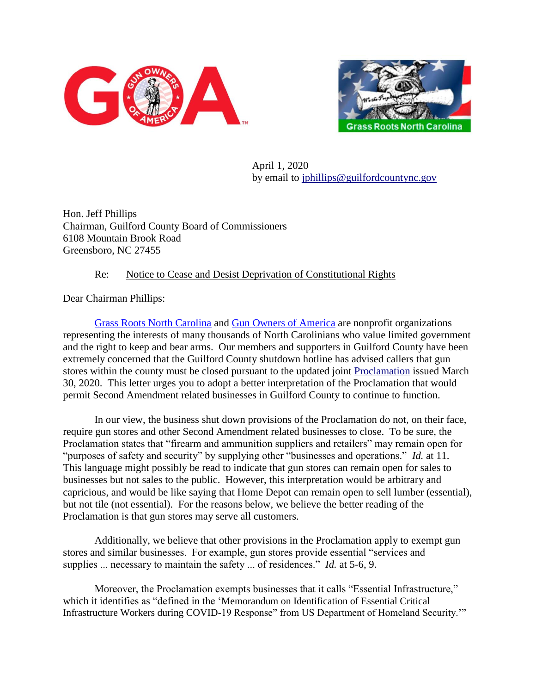



April 1, 2020 by email to [jphillips@guilfordcountync.gov](mailto:jphillips@guilfordcountync.gov)

Hon. Jeff Phillips Chairman, Guilford County Board of Commissioners 6108 Mountain Brook Road Greensboro, NC 27455

## Re: Notice to Cease and Desist Deprivation of Constitutional Rights

Dear Chairman Phillips:

[Grass Roots North Carolina](https://www.grnc.org/) and [Gun Owners of America](https://gunowners.org/) are nonprofit organizations representing the interests of many thousands of North Carolinians who value limited government and the right to keep and bear arms. Our members and supporters in Guilford County have been extremely concerned that the Guilford County shutdown hotline has advised callers that gun stores within the county must be closed pursuant to the updated joint [Proclamation](https://www.guilfordcountync.gov/home/showdocument?id=10280) issued March 30, 2020. This letter urges you to adopt a better interpretation of the Proclamation that would permit Second Amendment related businesses in Guilford County to continue to function.

In our view, the business shut down provisions of the Proclamation do not, on their face, require gun stores and other Second Amendment related businesses to close. To be sure, the Proclamation states that "firearm and ammunition suppliers and retailers" may remain open for "purposes of safety and security" by supplying other "businesses and operations." *Id.* at 11. This language might possibly be read to indicate that gun stores can remain open for sales to businesses but not sales to the public. However, this interpretation would be arbitrary and capricious, and would be like saying that Home Depot can remain open to sell lumber (essential), but not tile (not essential). For the reasons below, we believe the better reading of the Proclamation is that gun stores may serve all customers.

Additionally, we believe that other provisions in the Proclamation apply to exempt gun stores and similar businesses. For example, gun stores provide essential "services and supplies ... necessary to maintain the safety ... of residences." *Id.* at 5-6, 9.

Moreover, the Proclamation exempts businesses that it calls "Essential Infrastructure," which it identifies as "defined in the 'Memorandum on Identification of Essential Critical Infrastructure Workers during COVID-19 Response" from US Department of Homeland Security.'"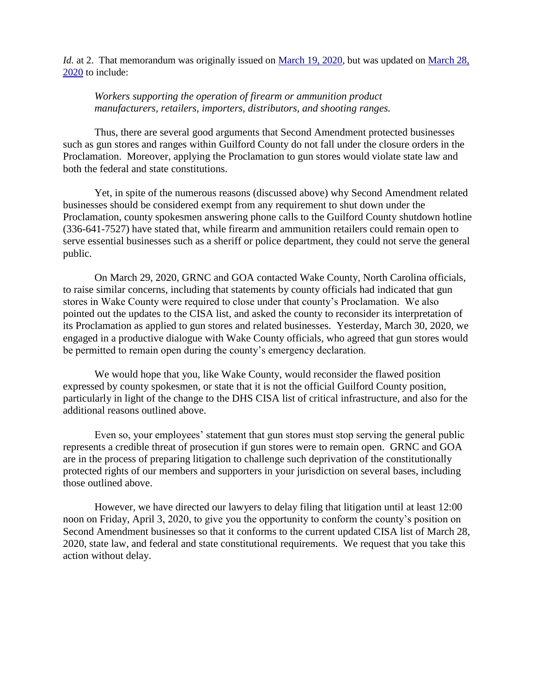*Id.* at 2. That memorandum was originally issued on [March 19, 2020,](https://www.cisa.gov/sites/default/files/publications/CISA_Guidance_on_the_Essential_Critical_Infrastructure_Workforce_508C_0.pdf) but was updated on March 28, [2020](https://www.cisa.gov/sites/default/files/publications/CISA_Guidance_on_the_Essential_Critical_Infrastructure_Workforce_Version_2.0_Updated.pdf) to include:

## *Workers supporting the operation of firearm or ammunition product manufacturers, retailers, importers, distributors, and shooting ranges.*

Thus, there are several good arguments that Second Amendment protected businesses such as gun stores and ranges within Guilford County do not fall under the closure orders in the Proclamation. Moreover, applying the Proclamation to gun stores would violate state law and both the federal and state constitutions.

Yet, in spite of the numerous reasons (discussed above) why Second Amendment related businesses should be considered exempt from any requirement to shut down under the Proclamation, county spokesmen answering phone calls to the Guilford County shutdown hotline (336-641-7527) have stated that, while firearm and ammunition retailers could remain open to serve essential businesses such as a sheriff or police department, they could not serve the general public.

On March 29, 2020, GRNC and GOA contacted Wake County, North Carolina officials, to raise similar concerns, including that statements by county officials had indicated that gun stores in Wake County were required to close under that county's Proclamation. We also pointed out the updates to the CISA list, and asked the county to reconsider its interpretation of its Proclamation as applied to gun stores and related businesses. Yesterday, March 30, 2020, we engaged in a productive dialogue with Wake County officials, who agreed that gun stores would be permitted to remain open during the county's emergency declaration.

We would hope that you, like Wake County, would reconsider the flawed position expressed by county spokesmen, or state that it is not the official Guilford County position, particularly in light of the change to the DHS CISA list of critical infrastructure, and also for the additional reasons outlined above.

Even so, your employees' statement that gun stores must stop serving the general public represents a credible threat of prosecution if gun stores were to remain open. GRNC and GOA are in the process of preparing litigation to challenge such deprivation of the constitutionally protected rights of our members and supporters in your jurisdiction on several bases, including those outlined above.

However, we have directed our lawyers to delay filing that litigation until at least 12:00 noon on Friday, April 3, 2020, to give you the opportunity to conform the county's position on Second Amendment businesses so that it conforms to the current updated CISA list of March 28, 2020, state law, and federal and state constitutional requirements. We request that you take this action without delay.